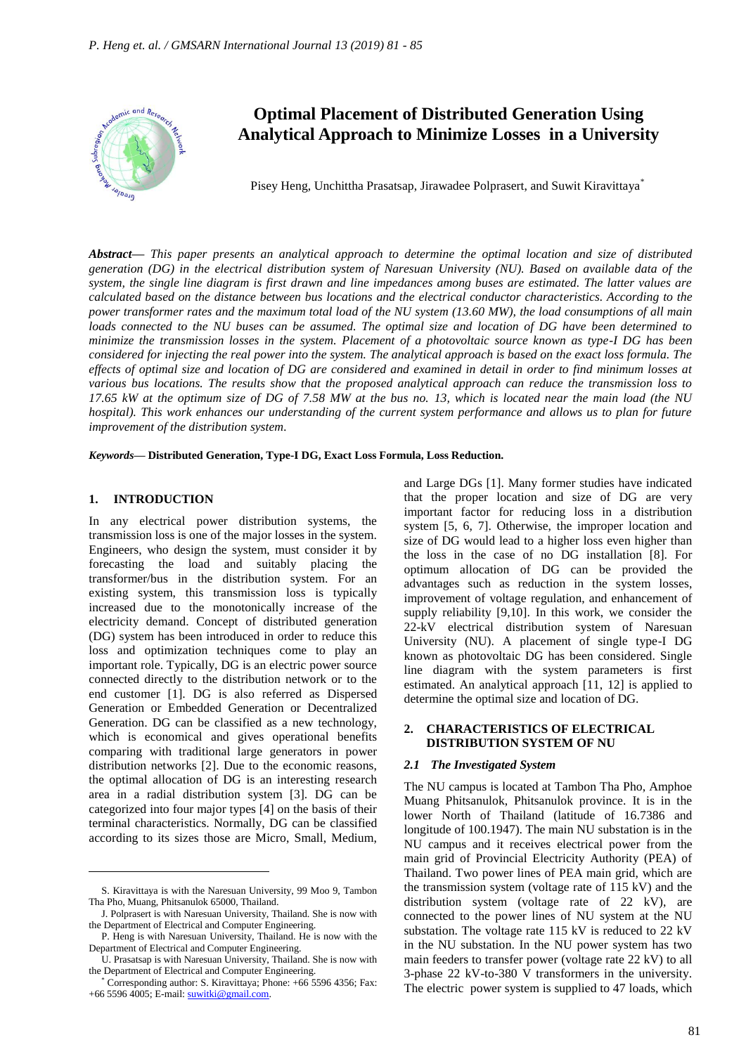

# **Optimal Placement of Distributed Generation Using Analytical Approach to Minimize Losses in a University**

Pisey Heng, Unchittha Prasatsap, Jirawadee Polprasert, and Suwit Kiravittaya\*

*Abstract***—** *This paper presents an analytical approach to determine the optimal location and size of distributed generation (DG) in the electrical distribution system of Naresuan University (NU). Based on available data of the system, the single line diagram is first drawn and line impedances among buses are estimated. The latter values are calculated based on the distance between bus locations and the electrical conductor characteristics. According to the power transformer rates and the maximum total load of the NU system (13.60 MW), the load consumptions of all main loads connected to the NU buses can be assumed. The optimal size and location of DG have been determined to minimize the transmission losses in the system. Placement of a photovoltaic source known as type-I DG has been considered for injecting the real power into the system. The analytical approach is based on the exact loss formula. The effects of optimal size and location of DG are considered and examined in detail in order to find minimum losses at various bus locations. The results show that the proposed analytical approach can reduce the transmission loss to 17.65 kW at the optimum size of DG of 7.58 MW at the bus no. 13, which is located near the main load (the NU hospital). This work enhances our understanding of the current system performance and allows us to plan for future improvement of the distribution system.*

*Keywords***— Distributed Generation, Type-I DG, Exact Loss Formula, Loss Reduction.**

#### **1. INTRODUCTION**

 $\overline{a}$ 

In any electrical power distribution systems, the transmission loss is one of the major losses in the system. Engineers, who design the system, must consider it by forecasting the load and suitably placing the transformer/bus in the distribution system. For an existing system, this transmission loss is typically increased due to the monotonically increase of the electricity demand. Concept of distributed generation (DG) system has been introduced in order to reduce this loss and optimization techniques come to play an important role. Typically, DG is an electric power source connected directly to the distribution network or to the end customer [1]. DG is also referred as Dispersed Generation or Embedded Generation or Decentralized Generation. DG can be classified as a new technology, which is economical and gives operational benefits comparing with traditional large generators in power distribution networks [2]. Due to the economic reasons, the optimal allocation of DG is an interesting research area in a radial distribution system [3]. DG can be categorized into four major types [4] on the basis of their terminal characteristics. Normally, DG can be classified according to its sizes those are Micro, Small, Medium,

and Large DGs [1]. Many former studies have indicated that the proper location and size of DG are very important factor for reducing loss in a distribution system [5, 6, 7]. Otherwise, the improper location and size of DG would lead to a higher loss even higher than the loss in the case of no DG installation [8]. For optimum allocation of DG can be provided the advantages such as reduction in the system losses, improvement of voltage regulation, and enhancement of supply reliability [9,10]. In this work, we consider the 22-kV electrical distribution system of Naresuan University (NU). A placement of single type-I DG known as photovoltaic DG has been considered. Single line diagram with the system parameters is first estimated. An analytical approach [11, 12] is applied to determine the optimal size and location of DG.

#### **2. CHARACTERISTICS OF ELECTRICAL DISTRIBUTION SYSTEM OF NU**

#### *2.1 The Investigated System*

The NU campus is located at Tambon Tha Pho, Amphoe Muang Phitsanulok, Phitsanulok province. It is in the lower North of Thailand (latitude of 16.7386 and longitude of 100.1947). The main NU substation is in the NU campus and it receives electrical power from the main grid of Provincial Electricity Authority (PEA) of Thailand. Two power lines of PEA main grid, which are the transmission system (voltage rate of 115 kV) and the distribution system (voltage rate of 22 kV), are connected to the power lines of NU system at the NU substation. The voltage rate 115 kV is reduced to 22 kV in the NU substation. In the NU power system has two main feeders to transfer power (voltage rate 22 kV) to all 3-phase 22 kV-to-380 V transformers in the university. The electric power system is supplied to 47 loads, which

S. Kiravittaya is with the Naresuan University, 99 Moo 9, Tambon Tha Pho, Muang, Phitsanulok 65000, Thailand.

J. Polprasert is with Naresuan University, Thailand. She is now with the Department of Electrical and Computer Engineering.

P. Heng is with Naresuan University, Thailand. He is now with the Department of Electrical and Computer Engineering.

U. Prasatsap is with Naresuan University, Thailand. She is now with the Department of Electrical and Computer Engineering.

Corresponding author: S. Kiravittaya; Phone: +66 5596 4356; Fax: +66 5596 4005; E-mail[: suwitki@gmail.com.](mailto:suwitki@gmail.com)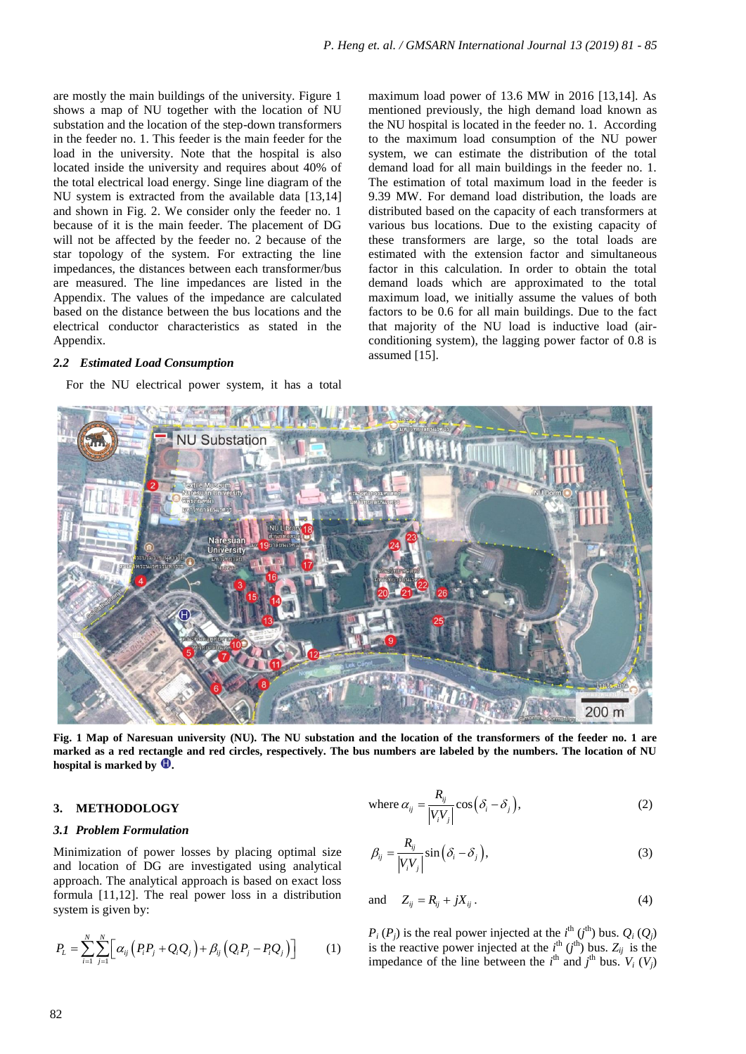are mostly the main buildings of the university. Figure 1 shows a map of NU together with the location of NU substation and the location of the step-down transformers in the feeder no. 1. This feeder is the main feeder for the load in the university. Note that the hospital is also located inside the university and requires about 40% of the total electrical load energy. Singe line diagram of the NU system is extracted from the available data [13,14] and shown in Fig. 2. We consider only the feeder no. 1 because of it is the main feeder. The placement of DG will not be affected by the feeder no. 2 because of the star topology of the system. For extracting the line impedances, the distances between each transformer/bus are measured. The line impedances are listed in the Appendix. The values of the impedance are calculated based on the distance between the bus locations and the electrical conductor characteristics as stated in the Appendix.

# *2.2 Estimated Load Consumption*

For the NU electrical power system, it has a total

maximum load power of 13.6 MW in 2016 [13,14]. As mentioned previously, the high demand load known as the NU hospital is located in the feeder no. 1. According to the maximum load consumption of the NU power system, we can estimate the distribution of the total demand load for all main buildings in the feeder no. 1. The estimation of total maximum load in the feeder is 9.39 MW. For demand load distribution, the loads are distributed based on the capacity of each transformers at various bus locations. Due to the existing capacity of these transformers are large, so the total loads are estimated with the extension factor and simultaneous factor in this calculation. In order to obtain the total demand loads which are approximated to the total maximum load, we initially assume the values of both factors to be 0.6 for all main buildings. Due to the fact that majority of the NU load is inductive load (airconditioning system), the lagging power factor of 0.8 is assumed [15].



**Fig. 1 Map of Naresuan university (NU). The NU substation and the location of the transformers of the feeder no. 1 are marked as a red rectangle and red circles, respectively. The bus numbers are labeled by the numbers. The location of NU hospital is marked by**  $\mathbf{\mathbf{\mathbb{Q}}}.$ 

# **3. METHODOLOGY**

# *3.1 Problem Formulation*

Minimization of power losses by placing optimal size and location of DG are investigated using analytical approach. The analytical approach is based on exact loss formula [11,12]. The real power loss in a distribution system is given by:

$$
P_{L} = \sum_{i=1}^{N} \sum_{j=1}^{N} \left[ \alpha_{ij} \left( P_{i} P_{j} + Q_{i} Q_{j} \right) + \beta_{ij} \left( Q_{i} P_{j} - P_{i} Q_{j} \right) \right]
$$
 (1)

where 
$$
\alpha_{ij} = \frac{R_{ij}}{|V_i V_j|} \cos(\delta_i - \delta_j)
$$
, (2)

$$
\beta_{ij} = \frac{R_{ij}}{\left|V_i V_j\right|} \sin\left(\delta_i - \delta_j\right),\tag{3}
$$

and 
$$
Z_{ij} = R_{ij} + jX_{ij}.
$$
 (4)

 $P_i(P_j)$  is the real power injected at the  $i^{\text{th}}(j^{\text{th}})$  bus.  $Q_i(Q_j)$ is the reactive power injected at the  $i^{\text{th}}$  ( $j^{\text{th}}$ ) bus.  $Z_{ij}$  is the impedance of the line between the  $i^{\text{th}}$  and  $j^{\text{th}}$  bus.  $V_i$  ( $V_j$ )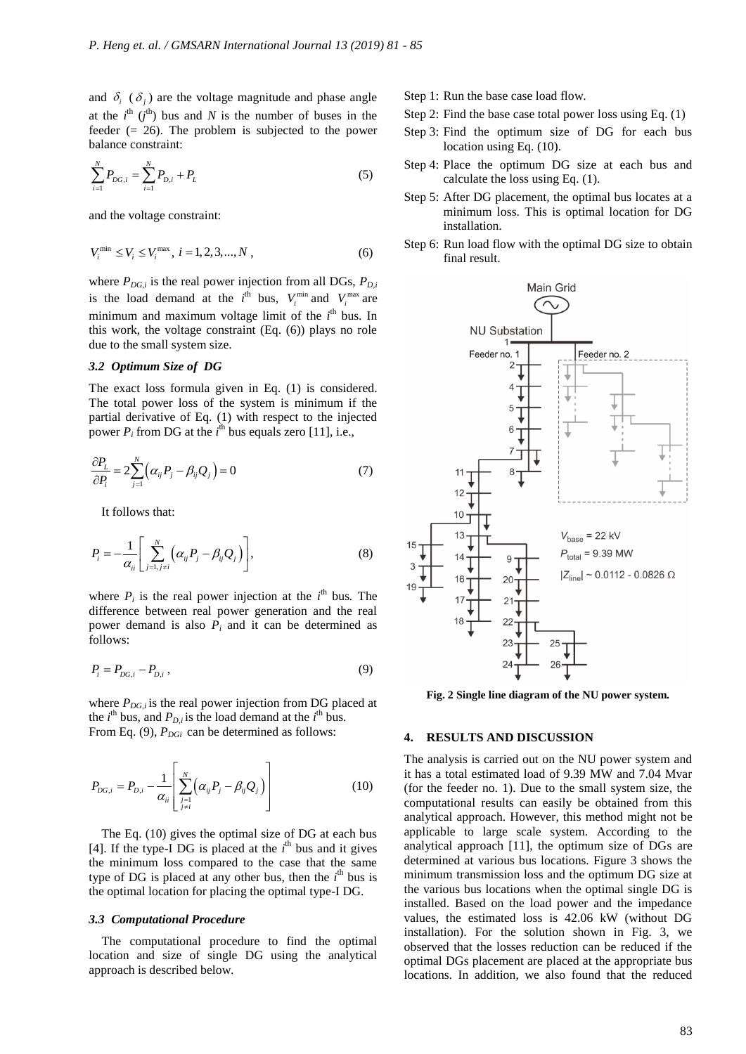and  $\delta_i$  ( $\delta_j$ ) are the voltage magnitude and phase angle at the  $i^{\text{th}}$   $(j^{\text{th}})$  bus and N is the number of buses in the feeder  $(= 26)$ . The problem is subjected to the power balance constraint:

$$
\sum_{i=1}^{N} P_{DG,i} = \sum_{i=1}^{N} P_{D,i} + P_{L}
$$
\n(5)

and the voltage constraint:

$$
V_i^{\min} \le V_i \le V_i^{\max}, i = 1, 2, 3, ..., N,
$$
\n(6)

where  $P_{DG,i}$  is the real power injection from all DGs,  $P_{D,i}$ is the load demand at the  $i^{\text{th}}$  bus,  $V_i^{\min}$  and  $V_i^{\max}$  are minimum and maximum voltage limit of the *i*<sup>th</sup> bus. In this work, the voltage constraint (Eq. (6)) plays no role due to the small system size.

#### *3.2 Optimum Size of DG*

The exact loss formula given in Eq. (1) is considered. The total power loss of the system is minimum if the partial derivative of Eq. (1) with respect to the injected power  $P_i$  from DG at the  $i^{\text{th}}$  bus equals zero [11], i.e.,

$$
\frac{\partial P_L}{\partial P_i} = 2 \sum_{j=1}^N \left( \alpha_{ij} P_j - \beta_{ij} Q_j \right) = 0 \tag{7}
$$

It follows that:

$$
P_i = -\frac{1}{\alpha_{ii}} \left[ \sum_{j=1, j \neq i}^{N} \left( \alpha_{ij} P_j - \beta_{ij} Q_j \right) \right],
$$
 (8)

where  $P_i$  is the real power injection at the  $i^{\text{th}}$  bus. The difference between real power generation and the real power demand is also  $P_i$  and it can be determined as follows:

$$
P_i = P_{DG,i} - P_{D,i} \,, \tag{9}
$$

where  $P_{DG,i}$  is the real power injection from DG placed at the  $i^{\text{th}}$  bus, and  $P_{D,i}$  is the load demand at the  $i^{\text{th}}$  bus. From Eq. (9),  $P_{DGi}$  can be determined as follows:

$$
P_{DG,i} = P_{D,i} - \frac{1}{\alpha_{ii}} \left[ \sum_{\substack{j=1 \ j \neq i}}^{N} \left( \alpha_{ij} P_j - \beta_{ij} Q_j \right) \right]
$$
 (10)

The Eq. (10) gives the optimal size of DG at each bus [4]. If the type-I DG is placed at the  $i<sup>th</sup>$  bus and it gives the minimum loss compared to the case that the same type of DG is placed at any other bus, then the  $i<sup>th</sup>$  bus is the optimal location for placing the optimal type-I DG.

#### *3.3 Computational Procedure*

The computational procedure to find the optimal location and size of single DG using the analytical approach is described below.

- Step 1: Run the base case load flow.
- Step 2: Find the base case total power loss using Eq. (1)
- Step 3: Find the optimum size of DG for each bus location using Eq. (10).
- Step 4: Place the optimum DG size at each bus and calculate the loss using Eq. (1).
- Step 5: After DG placement, the optimal bus locates at a minimum loss. This is optimal location for DG installation.
- Step 6: Run load flow with the optimal DG size to obtain final result.



**Fig. 2 Single line diagram of the NU power system.**

### **4. RESULTS AND DISCUSSION**

The analysis is carried out on the NU power system and it has a total estimated load of 9.39 MW and 7.04 Mvar (for the feeder no. 1). Due to the small system size, the computational results can easily be obtained from this analytical approach. However, this method might not be applicable to large scale system. According to the analytical approach [11], the optimum size of DGs are determined at various bus locations. Figure 3 shows the minimum transmission loss and the optimum DG size at the various bus locations when the optimal single DG is installed. Based on the load power and the impedance values, the estimated loss is 42.06 kW (without DG installation). For the solution shown in Fig. 3, we observed that the losses reduction can be reduced if the optimal DGs placement are placed at the appropriate bus locations. In addition, we also found that the reduced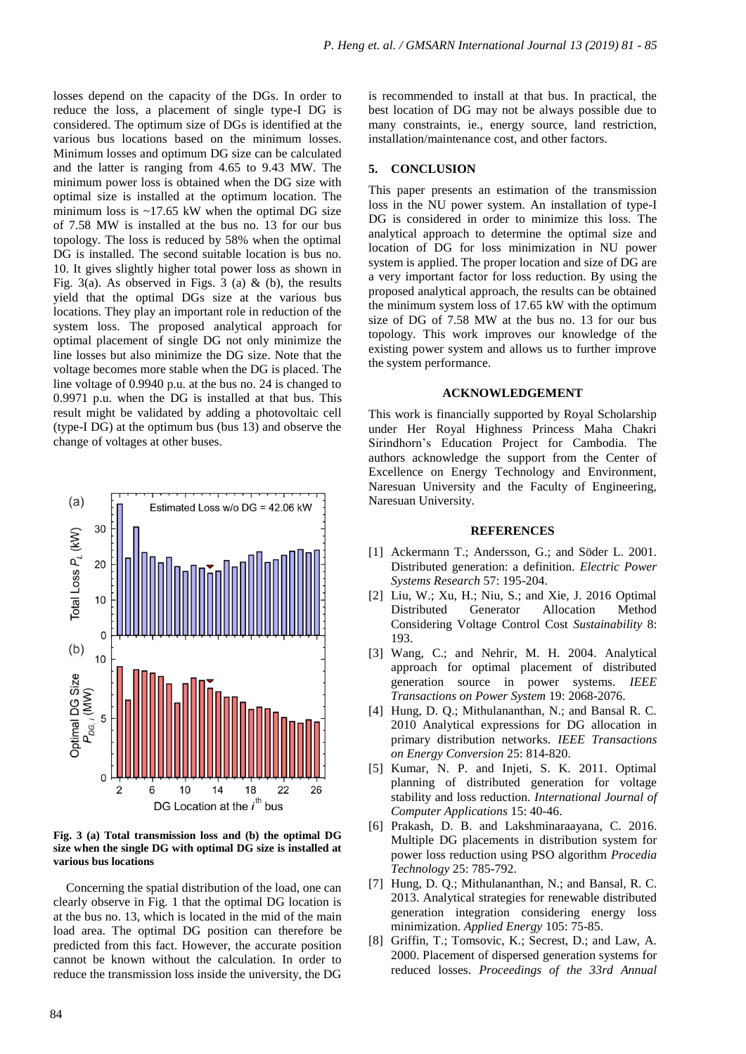losses depend on the capacity of the DGs. In order to reduce the loss, a placement of single type-I DG is considered. The optimum size of DGs is identified at the various bus locations based on the minimum losses. Minimum losses and optimum DG size can be calculated and the latter is ranging from 4.65 to 9.43 MW. The minimum power loss is obtained when the DG size with optimal size is installed at the optimum location. The minimum loss is  $~17.65$  kW when the optimal DG size of 7.58 MW is installed at the bus no. 13 for our bus topology. The loss is reduced by 58% when the optimal DG is installed. The second suitable location is bus no. 10. It gives slightly higher total power loss as shown in Fig. 3(a). As observed in Figs. 3 (a)  $\&$  (b), the results yield that the optimal DGs size at the various bus locations. They play an important role in reduction of the system loss. The proposed analytical approach for optimal placement of single DG not only minimize the line losses but also minimize the DG size. Note that the voltage becomes more stable when the DG is placed. The line voltage of 0.9940 p.u. at the bus no. 24 is changed to 0.9971 p.u. when the DG is installed at that bus. This result might be validated by adding a photovoltaic cell (type-I DG) at the optimum bus (bus 13) and observe the change of voltages at other buses.



**Fig. 3 (a) Total transmission loss and (b) the optimal DG size when the single DG with optimal DG size is installed at various bus locations**

Concerning the spatial distribution of the load, one can clearly observe in Fig. 1 that the optimal DG location is at the bus no. 13, which is located in the mid of the main load area. The optimal DG position can therefore be predicted from this fact. However, the accurate position cannot be known without the calculation. In order to reduce the transmission loss inside the university, the DG

is recommended to install at that bus. In practical, the best location of DG may not be always possible due to many constraints, ie., energy source, land restriction, installation/maintenance cost, and other factors.

# **5. CONCLUSION**

This paper presents an estimation of the transmission loss in the NU power system. An installation of type-I DG is considered in order to minimize this loss. The analytical approach to determine the optimal size and location of DG for loss minimization in NU power system is applied. The proper location and size of DG are a very important factor for loss reduction. By using the proposed analytical approach, the results can be obtained the minimum system loss of 17.65 kW with the optimum size of DG of 7.58 MW at the bus no. 13 for our bus topology. This work improves our knowledge of the existing power system and allows us to further improve the system performance.

#### **ACKNOWLEDGEMENT**

This work is financially supported by Royal Scholarship under Her Royal Highness Princess Maha Chakri Sirindhorn's Education Project for Cambodia. The authors acknowledge the support from the Center of Excellence on Energy Technology and Environment, Naresuan University and the Faculty of Engineering, Naresuan University.

# **REFERENCES**

- [1] Ackermann T.; Andersson, G.; and Söder L. 2001. Distributed generation: a definition. *Electric Power Systems Research* 57: 195-204.
- [2] Liu, W.; Xu, H.; Niu, S.; and Xie, J. 2016 Optimal Distributed Generator Allocation Method Considering Voltage Control Cost *Sustainability* 8: 193.
- [3] Wang, C.; and Nehrir, M. H. 2004. Analytical approach for optimal placement of distributed generation source in power systems. *IEEE Transactions on Power System* 19: 2068-2076.
- [4] Hung, D. Q.; Mithulananthan, N.; and Bansal R. C. 2010 Analytical expressions for DG allocation in primary distribution networks. *IEEE Transactions on Energy Conversion* 25: 814-820.
- [5] Kumar, N. P. and Injeti, S. K. 2011. Optimal planning of distributed generation for voltage stability and loss reduction. *International Journal of Computer Applications* 15: 40-46.
- [6] Prakash, D. B. and Lakshminaraayana, C. 2016. Multiple DG placements in distribution system for power loss reduction using PSO algorithm *Procedia Technology* 25: 785-792.
- [7] Hung, D. Q.; Mithulananthan, N.; and Bansal, R. C. 2013. Analytical strategies for renewable distributed generation integration considering energy loss minimization. *Applied Energy* 105: 75-85.
- [8] Griffin, T.; Tomsovic, K.; Secrest, D.; and Law, A. 2000. Placement of dispersed generation systems for reduced losses. *Proceedings of the 33rd Annual*